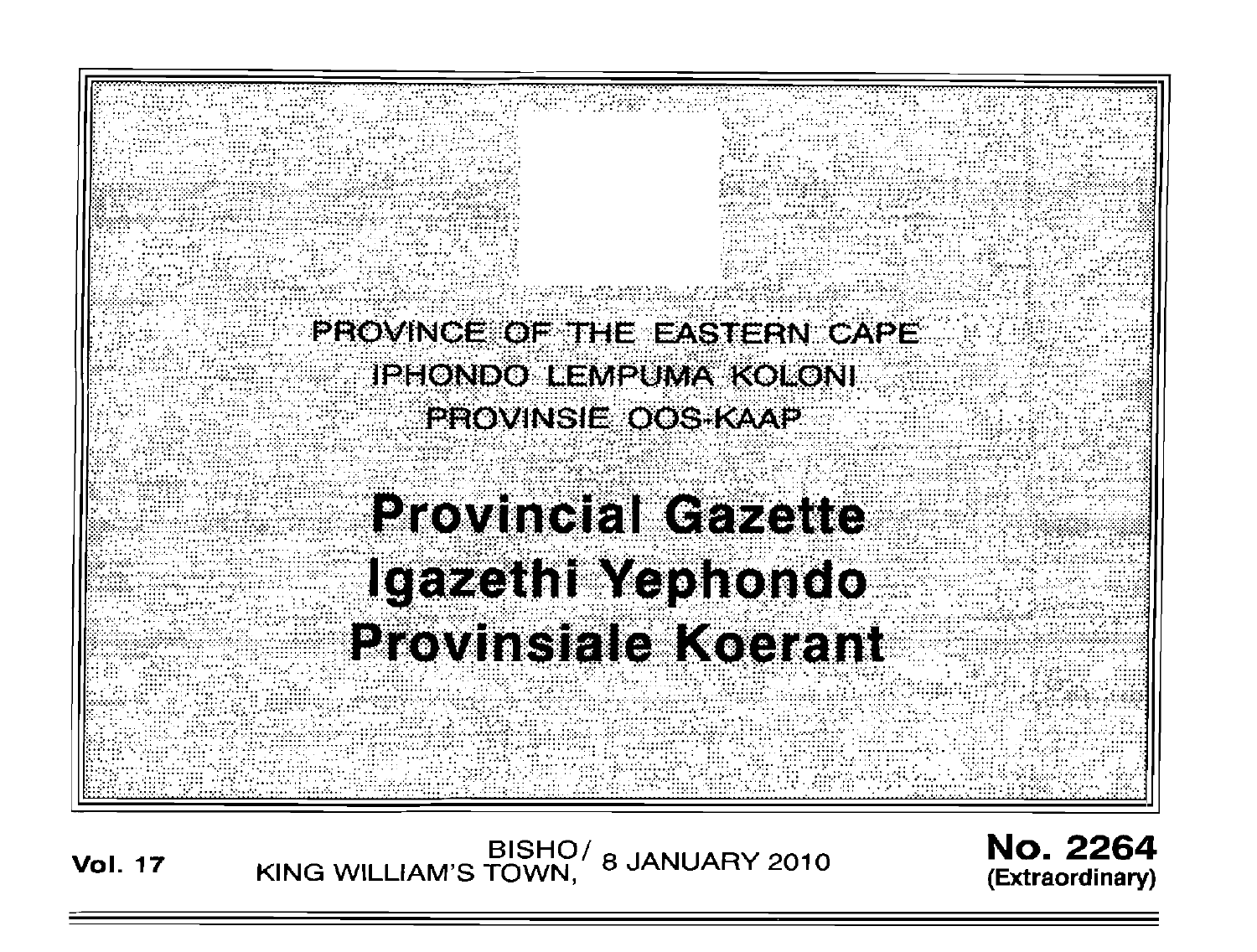PROVINCE OF THE EASTERN CAPE **IPHONDO LEMPUMA KOLONI** PROVINSIE OOS KAAP **Provincial Gazette** 

**Igazethi Yephondo** 

**Provinsiale Koerant** 

No. 2264 (Extraordinary)

**Vol. 17** 

BISHO/ 8 JANUARY 2010<br>KING WILLIAM'S TOWN.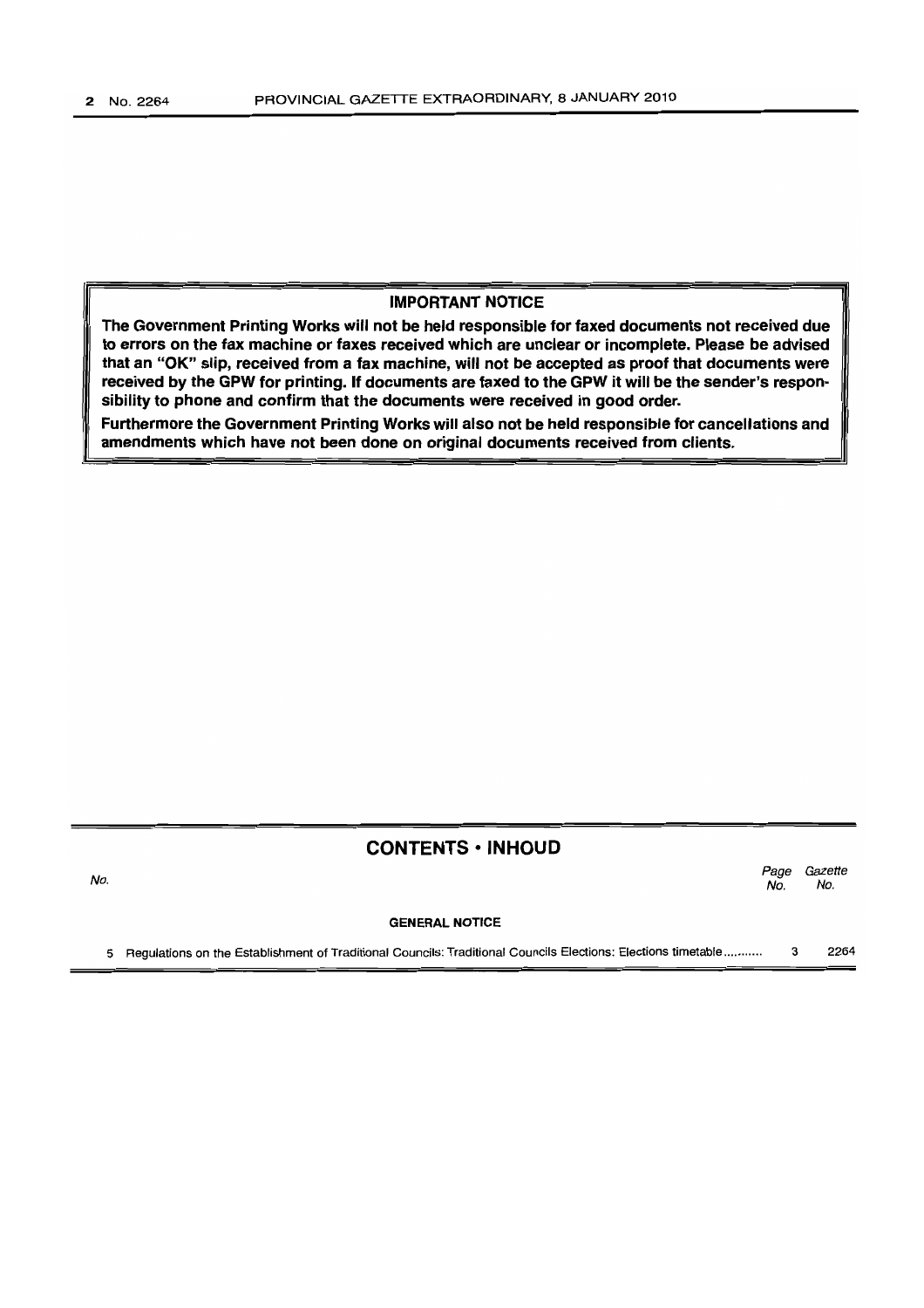# IMPORTANT NOTICE

The Government Printing Works will not be held responsible for faxed documents not received due to errors on the fax machine or faxes received which are unclear or incomplete. Please be advised that an "OK" slip, received from a fax machine, will not be accepted as proof that documents were received by the GPW for printing. If documents are faxed to the GPW it will be the sender's responsibility to phone and confirm that the documents were received in good order.

Furthermore the Government Printing Works will also not be held responsible for cancellations and amendments which have not been done on original documents received from clients.

# CONTENTS • INHOUD

GENERAL NOTICE Page Gazette No. No.

5 Regulations on the Establishment of Traditional Councils: Traditional Councils Elections: Elections timetable ........... 3 2264

No.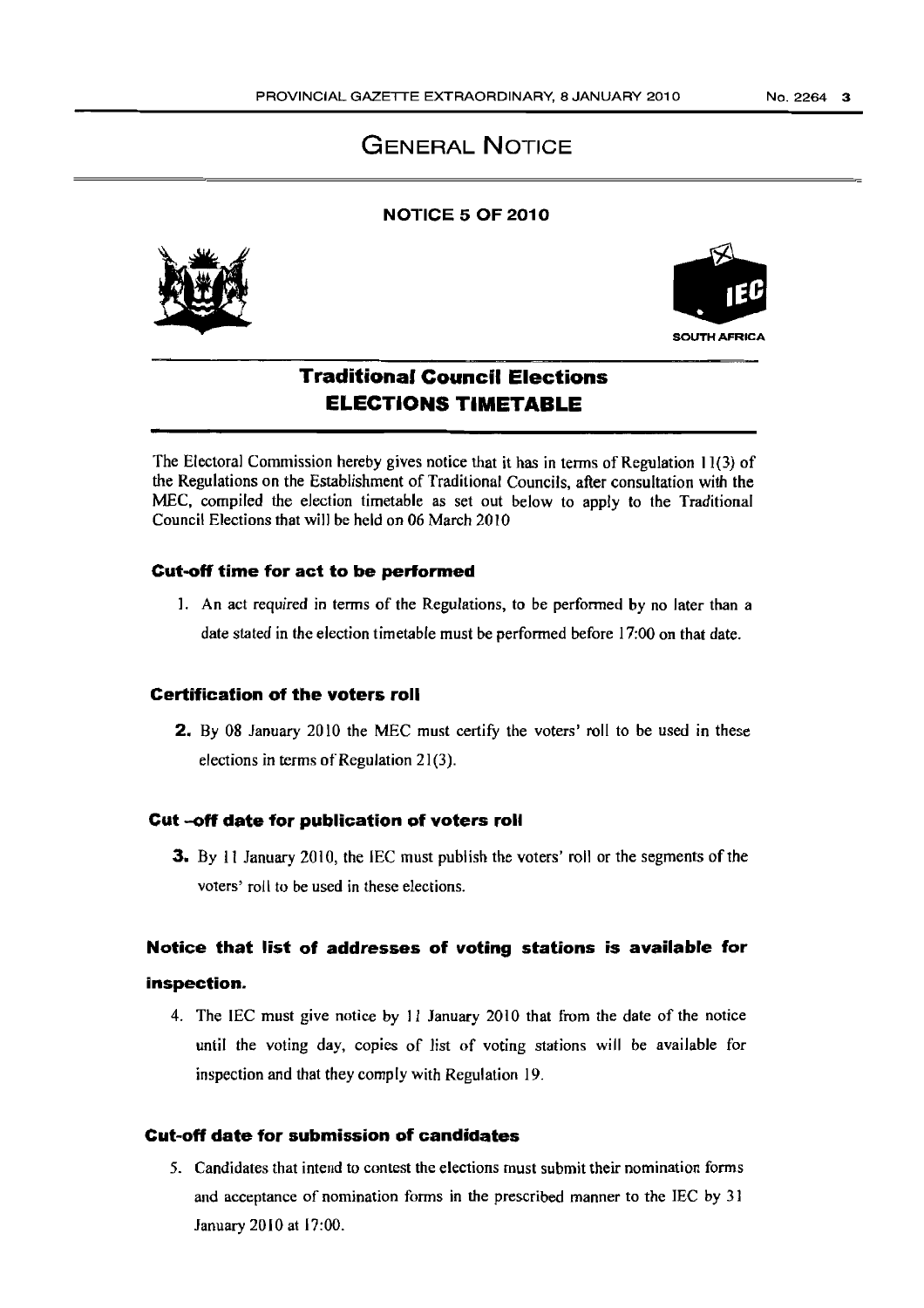# GENERAL NOTICE

# NOTICE 5 OF 2010





# Traditional Council Elections ELECTIONS TIMETABLE

The Electoral Commission hereby gives notice that it has in terms of Regulation 11(3) of the Regulations on the Establishment of Traditional Councils, after consultation with the MEC, compiled the election timetable as set out below to apply to the Traditional Council Elections that will be held on 06 March 2010

### Cut-off time for act to be performed

]. An act required in terms of the Regulations, to be performed by no later than a date stated in the election timetable must be performed before 17:00 on that date.

### Certification of the voters roll

2. By 08 January 2010 the MEC must certify the voters' roll to be used in these elections in terms of Regulation  $21(3)$ .

#### Cut -off date for publication of voters roll

3. By 11 January 2010, the IEC must publish the voters' roll or the segments of the voters' roll to be used in these elections.

# Notice that list of addresses of voting stations is available for

# inspection.

4. The IEC must give notice by 11 January 2010 that from the date of the notice until the voting day, copies of list of voting stations will be available for inspection and that they comply with Regulation 19.

# Cut~off date for submission of candidates

5. Candidates that intend to contest the elections must submit their nomination forms and acceptance of nomination forms in the prescribed manner to the IEC by 31 January 2010 at 17:00.